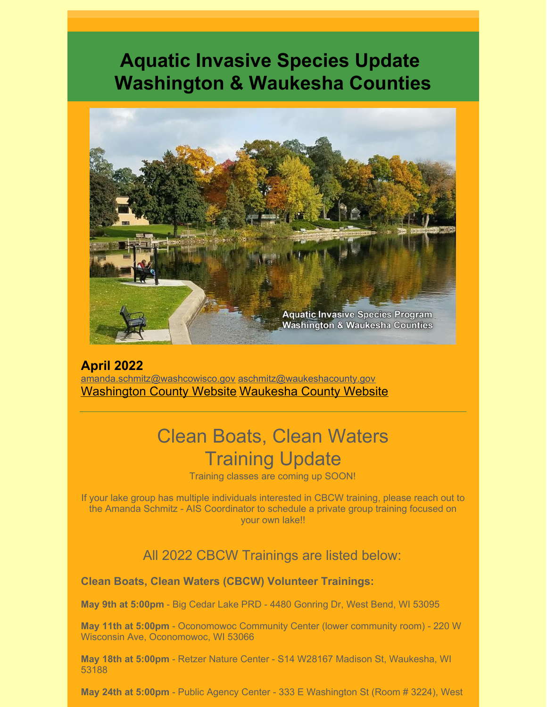## **Aquatic Invasive Species Update Washington & Waukesha Counties**



**April 2022** [amanda.schmitz@washcowisco.gov](mailto:amanda.schmitz@washcowisco.gov) [aschmitz@waukeshacounty.gov](mailto:aschmitz@waukeshacounty.gov) [Washington](https://www.washcowisco.gov/departments/planning_and_parks/land_resources) County Website [Waukesha](https://www.waukeshacounty.gov/ais/) County Website

## Clean Boats, Clean Waters Training Update

Training classes are coming up SOON!

If your lake group has multiple individuals interested in CBCW training, please reach out to the Amanda Schmitz - AIS Coordinator to schedule a private group training focused on your own lake!!

All 2022 CBCW Trainings are listed below:

**Clean Boats, Clean Waters (CBCW) Volunteer Trainings:**

**May 9th at 5:00pm** - Big Cedar Lake PRD - 4480 Gonring Dr, West Bend, WI 53095

**May 11th at 5:00pm** - Oconomowoc Community Center (lower community room) - 220 W Wisconsin Ave, Oconomowoc, WI 53066

**May 18th at 5:00pm** - Retzer Nature Center - S14 W28167 Madison St, Waukesha, WI 53188

**May 24th at 5:00pm** - Public Agency Center - 333 E Washington St (Room # 3224), West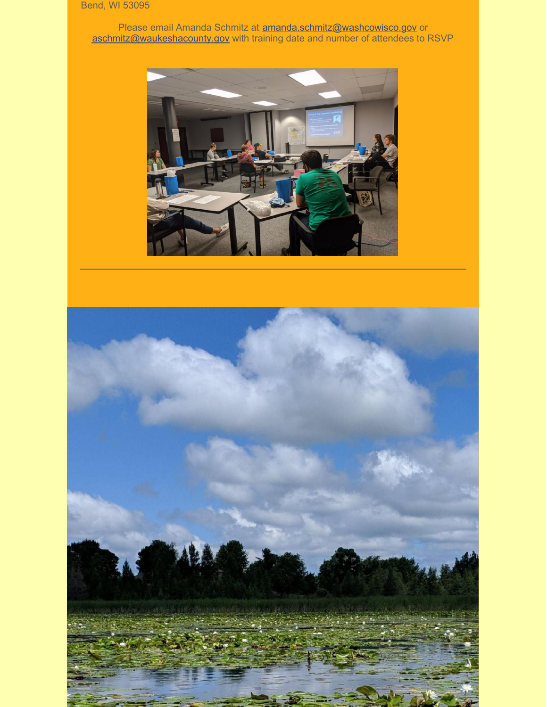## Bend, WI 53095

Please email Amanda Schmitz at **[amanda.schmitz@washcowisco.gov](mailto:amanda.schmitz@washcowisco.gov)** or [aschmitz@waukeshacounty.gov](mailto:aschmitz@waukeshacounty.gov) with training date and number of attendees to RSVP



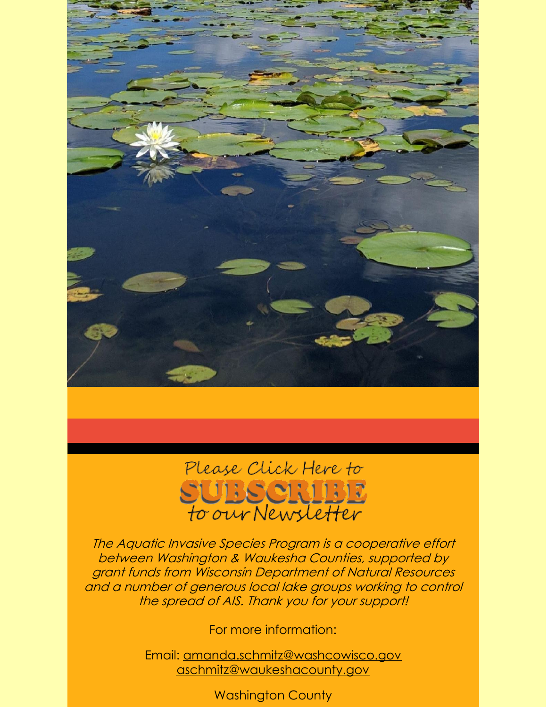

## Please Click Here to SUBSCRIBE<br>to our Newsletter

The Aquatic Invasive Species Program is <sup>a</sup> cooperative effort between Washington & Waukesha Counties, supported by grant funds from Wisconsin Department of Natural Resources and <sup>a</sup> number of generous local lake groups working to control the spread of AIS. Thank you for your support!

For more information:

Email: [amanda.schmitz@washcowisco.gov](mailto:amanda.schmitz@washcowisco.gov) [aschmitz@waukeshacounty.gov](mailto:aschmitz@waukeshacounty.gov)

Washington County